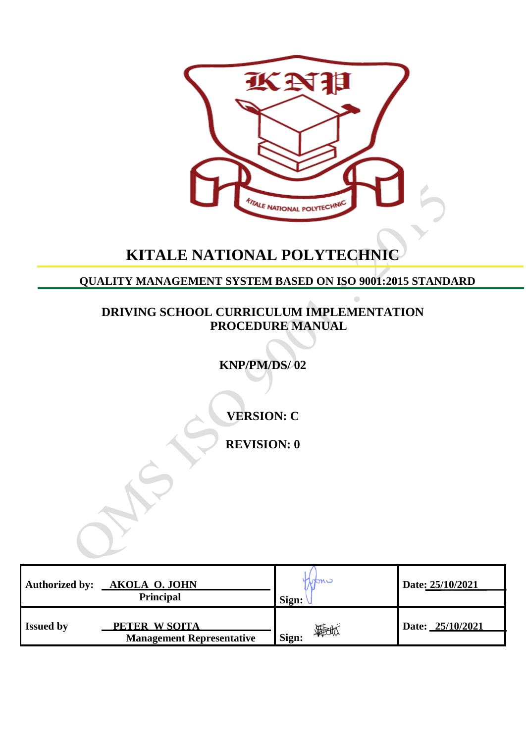

# **KITALE NATIONAL POLYTECHNIC**

**QUALITY MANAGEMENT SYSTEM BASED ON ISO 9001:2015 STANDARD**

**DRIVING SCHOOL CURRICULUM IMPLEMENTATION PROCEDURE MANUAL**

**KNP/PM/DS/ 02**

**VERSION: C**

**REVISION: 0**

| <b>Authorized by:</b> | <b>AKOLA O. JOHN</b><br><b>Principal</b>          | MONC<br>Sign: | Date: 25/10/2021 |
|-----------------------|---------------------------------------------------|---------------|------------------|
| <b>Issued by</b>      | PETER W SOITA<br><b>Management Representative</b> | 颗似<br>Sign:   | Date: 25/10/2021 |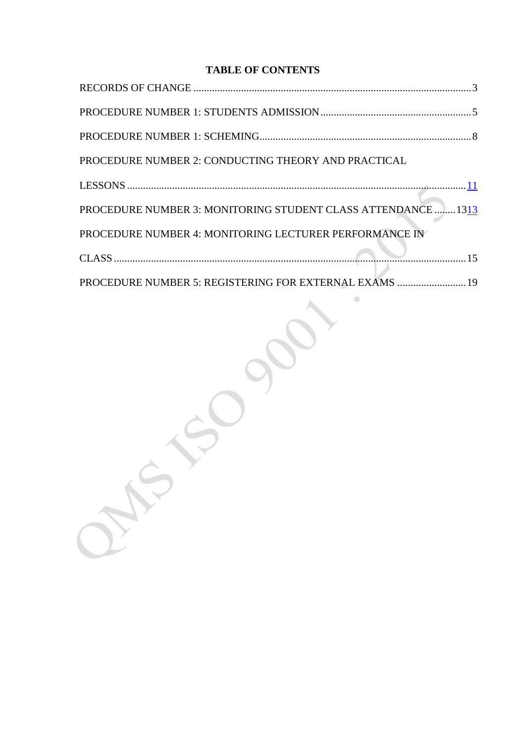## **TABLE OF CONTENTS**

| PROCEDURE NUMBER 2: CONDUCTING THEORY AND PRACTICAL           |
|---------------------------------------------------------------|
|                                                               |
| PROCEDURE NUMBER 3: MONITORING STUDENT CLASS ATTENDANCE  1313 |
| PROCEDURE NUMBER 4: MONITORING LECTURER PERFORMANCE IN        |
|                                                               |
| PROCEDURE NUMBER 5: REGISTERING FOR EXTERNAL EXAMS  19        |

 $\begin{array}{ccc} \bullet & \bullet & \bullet \\ \bullet & \bullet & \bullet \end{array}$ 

Because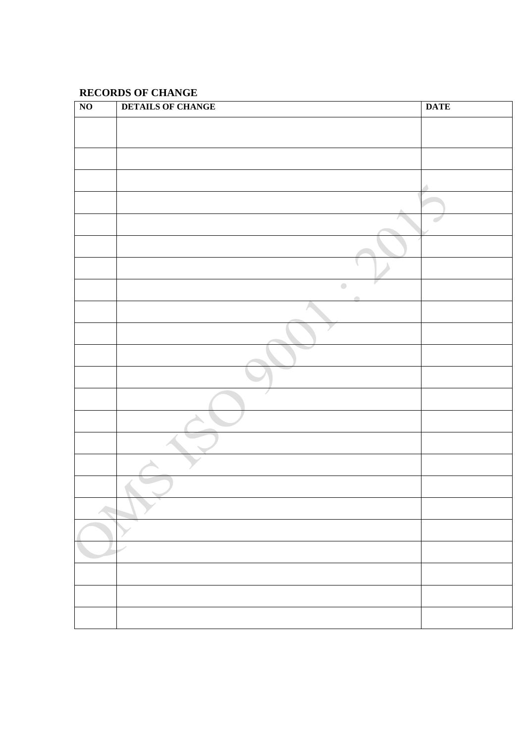## <span id="page-2-0"></span>**RECORDS OF CHANGE**

| $\overline{NO}$ | <b>DETAILS OF CHANGE</b>                               | <b>DATE</b> |
|-----------------|--------------------------------------------------------|-------------|
|                 |                                                        |             |
|                 |                                                        |             |
|                 |                                                        |             |
|                 |                                                        |             |
|                 |                                                        |             |
|                 |                                                        |             |
|                 |                                                        |             |
|                 |                                                        |             |
|                 | $\begin{array}{c} \bullet \\ \bullet \end{array}$<br>٠ |             |
|                 |                                                        |             |
|                 |                                                        |             |
|                 |                                                        |             |
|                 |                                                        |             |
|                 |                                                        |             |
|                 |                                                        |             |
|                 |                                                        |             |
|                 |                                                        |             |
|                 |                                                        |             |
|                 |                                                        |             |
|                 |                                                        |             |
|                 |                                                        |             |
|                 |                                                        |             |
|                 |                                                        |             |
|                 |                                                        |             |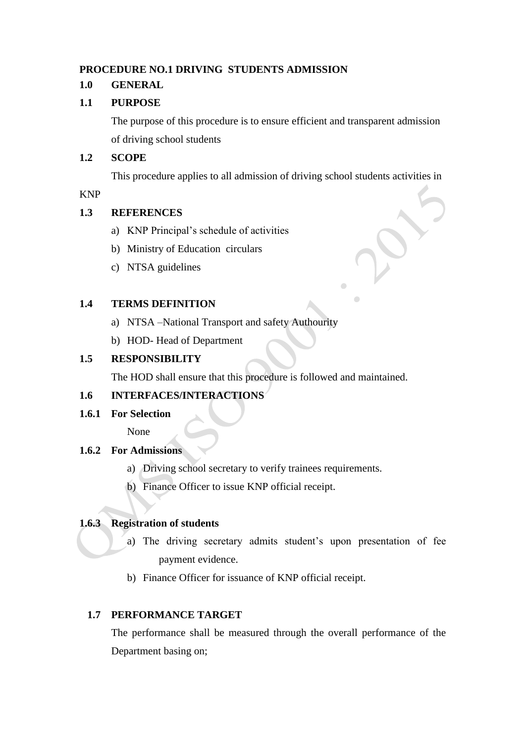#### <span id="page-3-0"></span>**PROCEDURE NO.1 DRIVING STUDENTS ADMISSION**

#### **1.0 GENERAL**

#### **1.1 PURPOSE**

The purpose of this procedure is to ensure efficient and transparent admission of driving school students

#### **1.2 SCOPE**

This procedure applies to all admission of driving school students activities in

#### KNP

#### **1.3 REFERENCES**

- a) KNP Principal's schedule of activities
- b) Ministry of Education circulars
- c) NTSA guidelines

#### **1.4 TERMS DEFINITION**

- a) NTSA –National Transport and safety Authourity
- b) HOD- Head of Department

#### **1.5 RESPONSIBILITY**

The HOD shall ensure that this procedure is followed and maintained.

#### **1.6 INTERFACES/INTERACTIONS**

**1.6.1 For Selection**

None

#### **1.6.2 For Admissions**

- a) Driving school secretary to verify trainees requirements.
- b) Finance Officer to issue KNP official receipt.

#### **1.6.3 Registration of students**

- a) The driving secretary admits student's upon presentation of fee payment evidence.
- b) Finance Officer for issuance of KNP official receipt.

#### **1.7 PERFORMANCE TARGET**

The performance shall be measured through the overall performance of the Department basing on;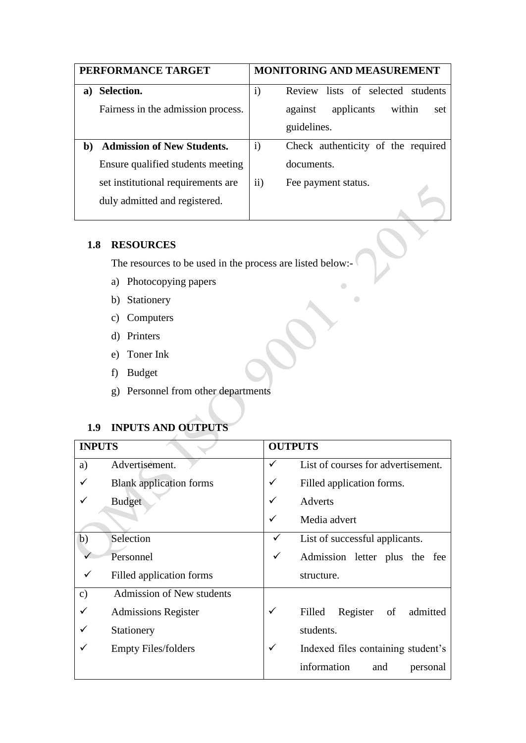|              | PERFORMANCE TARGET                 |              | <b>MONITORING AND MEASUREMENT</b>      |
|--------------|------------------------------------|--------------|----------------------------------------|
| a)           | Selection.                         | $\mathbf{i}$ | Review lists of selected students      |
|              | Fairness in the admission process. |              | applicants<br>within<br>against<br>set |
|              |                                    |              | guidelines.                            |
| $\mathbf{b}$ | <b>Admission of New Students.</b>  | $\mathbf{i}$ | Check authenticity of the required     |
|              | Ensure qualified students meeting  |              | documents.                             |
|              | set institutional requirements are | $\rm ii)$    | Fee payment status.                    |
|              | duly admitted and registered.      |              |                                        |

 $\bullet$ 

 $\bullet$ 

#### **1.8 RESOURCES**

The resources to be used in the process are listed below:-

- a) Photocopying papers
- b) Stationery
- c) Computers
- d) Printers
- e) Toner Ink
- f) Budget
- g) Personnel from other departments

# **1.9 INPUTS AND OUTPUTS**

| <b>INPUTS</b> |                                  |   | <b>OUTPUTS</b>                       |
|---------------|----------------------------------|---|--------------------------------------|
| a)            | Advertisement.                   | ✓ | List of courses for advertisement.   |
|               | <b>Blank</b> application forms   | ✓ | Filled application forms.            |
|               | <b>Budget</b>                    | ✓ | <b>Adverts</b>                       |
|               |                                  | ✓ | Media advert                         |
| b)            | Selection                        |   | List of successful applicants.       |
|               | Personnel                        | ✓ | Admission letter plus the fee        |
|               | Filled application forms         |   | structure.                           |
| $\mathbf{c})$ | <b>Admission of New students</b> |   |                                      |
|               | <b>Admissions Register</b>       | ✓ | Register<br>Filled<br>of<br>admitted |
|               | Stationery                       |   | students.                            |
|               | <b>Empty Files/folders</b>       | ✓ | Indexed files containing student's   |
|               |                                  |   | information<br>and<br>personal       |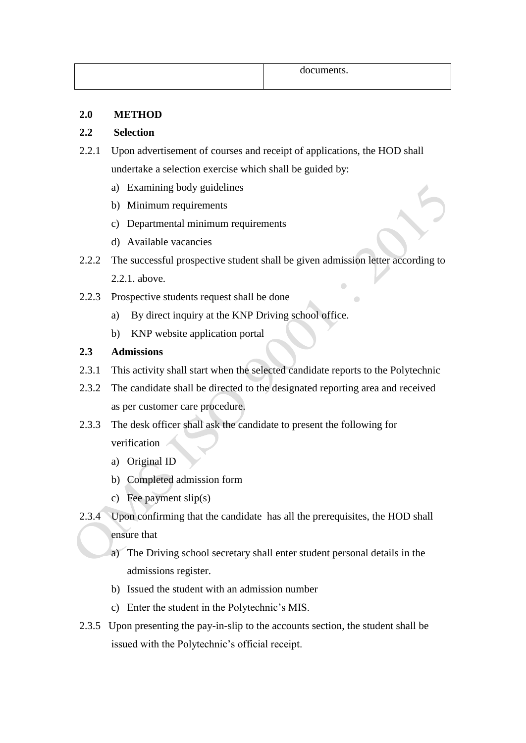| documents. |
|------------|
|------------|

#### **2.0 METHOD**

#### **2.2 Selection**

- 2.2.1 Upon advertisement of courses and receipt of applications, the HOD shall undertake a selection exercise which shall be guided by:
	- a) Examining body guidelines
	- b) Minimum requirements
	- c) Departmental minimum requirements
	- d) Available vacancies
- 2.2.2 The successful prospective student shall be given admission letter according to 2.2.1. above.
- 2.2.3 Prospective students request shall be done
	- a) By direct inquiry at the KNP Driving school office.
	- b) KNP website application portal

#### **2.3 Admissions**

- 2.3.1 This activity shall start when the selected candidate reports to the Polytechnic
- 2.3.2 The candidate shall be directed to the designated reporting area and received as per customer care procedure.
- 2.3.3 The desk officer shall ask the candidate to present the following for verification
	- a) Original ID
	- b) Completed admission form
	- c) Fee payment slip(s)
- 2.3.4 Upon confirming that the candidate has all the prerequisites, the HOD shall ensure that
	- a) The Driving school secretary shall enter student personal details in the admissions register.
	- b) Issued the student with an admission number
	- c) Enter the student in the Polytechnic's MIS.
- 2.3.5 Upon presenting the pay-in-slip to the accounts section, the student shall be issued with the Polytechnic's official receipt.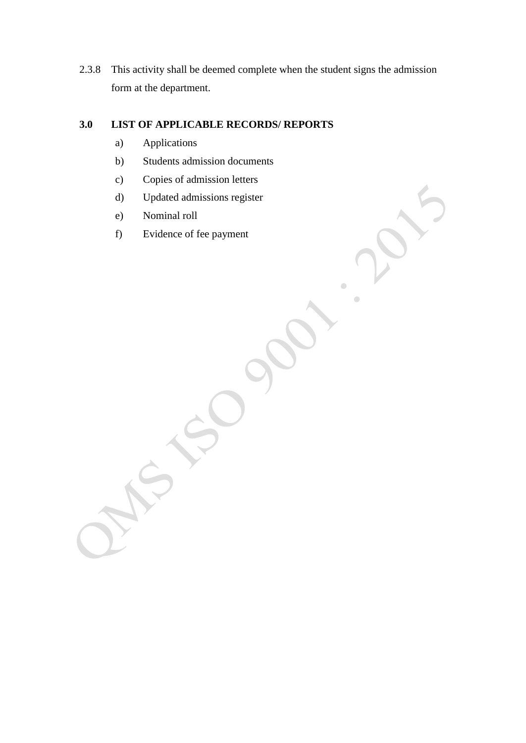2.3.8 This activity shall be deemed complete when the student signs the admission form at the department.

 $\overline{a}$ 

 $\overline{C}$ 

## **3.0 LIST OF APPLICABLE RECORDS/ REPORTS**

- a) Applications
- b) Students admission documents
- c) Copies of admission letters
- d) Updated admissions register
- e) Nominal roll
- f) Evidence of fee payment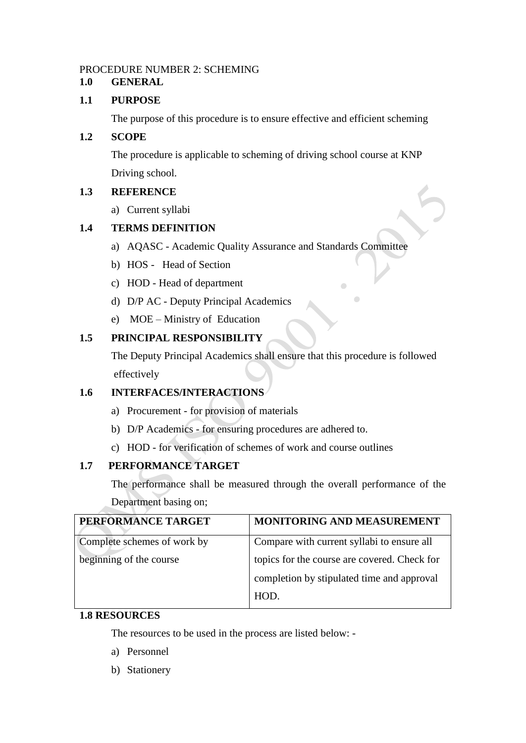#### PROCEDURE NUMBER 2: SCHEMING

#### **1.0 GENERAL**

#### **1.1 PURPOSE**

The purpose of this procedure is to ensure effective and efficient scheming

## **1.2 SCOPE**

The procedure is applicable to scheming of driving school course at KNP Driving school.

## **1.3 REFERENCE**

a) Current syllabi

## **1.4 TERMS DEFINITION**

- a) AQASC Academic Quality Assurance and Standards Committee
- b) HOS Head of Section
- c) HOD Head of department
- d) D/P AC Deputy Principal Academics
- e) MOE Ministry of Education

## **1.5 PRINCIPAL RESPONSIBILITY**

The Deputy Principal Academics shall ensure that this procedure is followed effectively

 $\overline{a}$ 

#### **1.6 INTERFACES/INTERACTIONS**

- a) Procurement for provision of materials
- b) D/P Academics for ensuring procedures are adhered to.
- c) HOD for verification of schemes of work and course outlines

## **1.7 PERFORMANCE TARGET**

The performance shall be measured through the overall performance of the Department basing on;

| PERFORMANCE TARGET          | MONITORING AND MEASUREMENT                   |
|-----------------------------|----------------------------------------------|
| Complete schemes of work by | Compare with current syllabi to ensure all   |
| beginning of the course     | topics for the course are covered. Check for |
|                             | completion by stipulated time and approval   |
|                             | HOD.                                         |

#### **1.8 RESOURCES**

The resources to be used in the process are listed below: -

- a) Personnel
- b) Stationery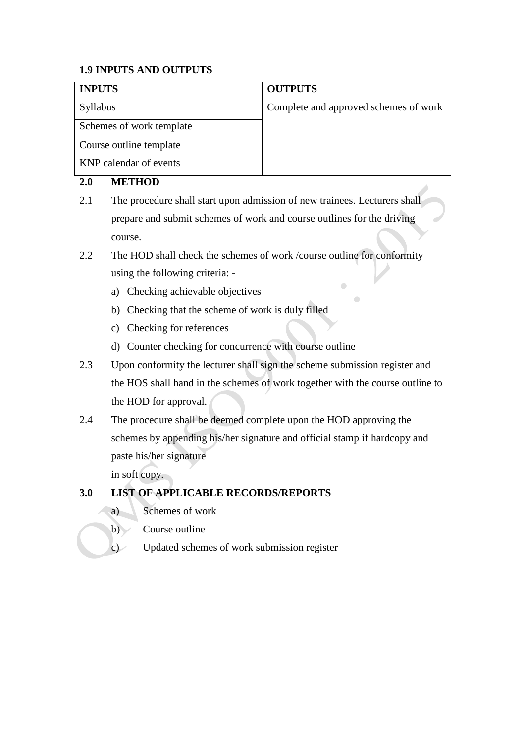## **1.9 INPUTS AND OUTPUTS**

| <b>INPUTS</b>            | <b>OUTPUTS</b>                        |
|--------------------------|---------------------------------------|
| Syllabus                 | Complete and approved schemes of work |
| Schemes of work template |                                       |
| Course outline template  |                                       |
| KNP calendar of events   |                                       |

## **2.0 METHOD**

- 2.1 The procedure shall start upon admission of new trainees. Lecturers shall prepare and submit schemes of work and course outlines for the driving course.
- 2.2 The HOD shall check the schemes of work /course outline for conformity using the following criteria:
	- a) Checking achievable objectives
	- b) Checking that the scheme of work is duly filled
	- c) Checking for references
	- d) Counter checking for concurrence with course outline
- 2.3 Upon conformity the lecturer shall sign the scheme submission register and the HOS shall hand in the schemes of work together with the course outline to the HOD for approval.
- 2.4 The procedure shall be deemed complete upon the HOD approving the schemes by appending his/her signature and official stamp if hardcopy and paste his/her signature

in soft copy.

## **3.0 LIST OF APPLICABLE RECORDS/REPORTS**

- a) Schemes of work
- b) Course outline
- <span id="page-8-0"></span>c) Updated schemes of work submission register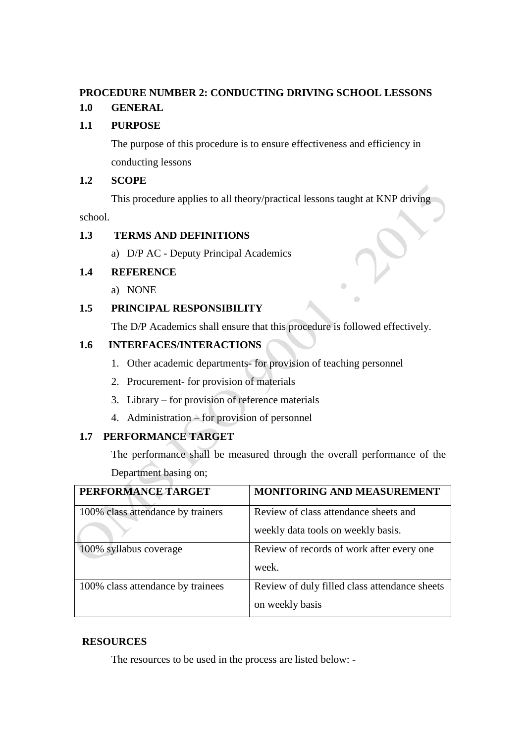#### **PROCEDURE NUMBER 2: CONDUCTING DRIVING SCHOOL LESSONS**

## **1.0 GENERAL**

#### **1.1 PURPOSE**

The purpose of this procedure is to ensure effectiveness and efficiency in conducting lessons

#### **1.2 SCOPE**

This procedure applies to all theory/practical lessons taught at KNP driving

school.

## **1.3 TERMS AND DEFINITIONS**

a) D/P AC - Deputy Principal Academics

## **1.4 REFERENCE**

a) NONE

## **1.5 PRINCIPAL RESPONSIBILITY**

The D/P Academics shall ensure that this procedure is followed effectively.

#### **1.6 INTERFACES/INTERACTIONS**

- 1. Other academic departments- for provision of teaching personnel
- 2. Procurement- for provision of materials
- 3. Library for provision of reference materials
- 4. Administration for provision of personnel

## **1.7 PERFORMANCE TARGET**

The performance shall be measured through the overall performance of the Department basing on;

| PERFORMANCE TARGET                | <b>MONITORING AND MEASUREMENT</b>             |
|-----------------------------------|-----------------------------------------------|
| 100% class attendance by trainers | Review of class attendance sheets and         |
|                                   | weekly data tools on weekly basis.            |
| 100% syllabus coverage            | Review of records of work after every one     |
|                                   | week.                                         |
| 100% class attendance by trainees | Review of duly filled class attendance sheets |
|                                   | on weekly basis                               |

## **RESOURCES**

The resources to be used in the process are listed below: -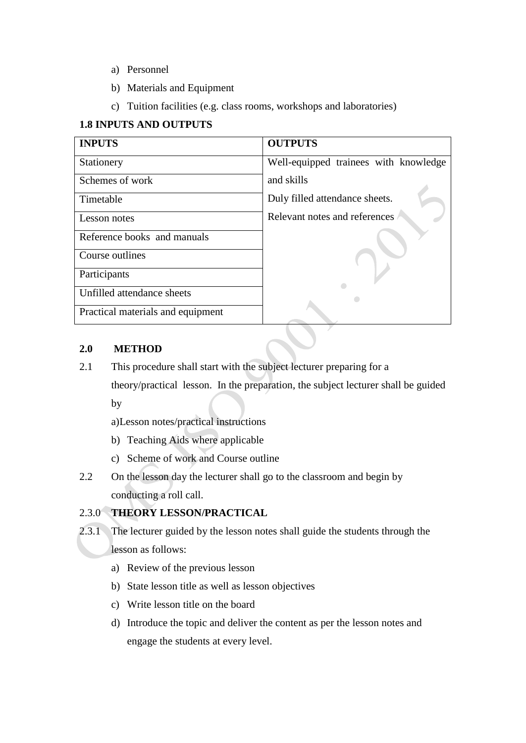- a) Personnel
- b) Materials and Equipment
- c) Tuition facilities (e.g. class rooms, workshops and laboratories)

## **1.8 INPUTS AND OUTPUTS**

| <b>INPUTS</b>                     | <b>OUTPUTS</b>                        |
|-----------------------------------|---------------------------------------|
| Stationery                        | Well-equipped trainees with knowledge |
| Schemes of work                   | and skills                            |
| Timetable                         | Duly filled attendance sheets.        |
| Lesson notes                      | Relevant notes and references         |
| Reference books and manuals       |                                       |
| Course outlines                   |                                       |
| Participants                      |                                       |
| Unfilled attendance sheets        |                                       |
| Practical materials and equipment |                                       |

#### **2.0 METHOD**

- 2.1 This procedure shall start with the subject lecturer preparing for a
	- theory/practical lesson. In the preparation, the subject lecturer shall be guided by

a)Lesson notes/practical instructions

- b) Teaching Aids where applicable
- c) Scheme of work and Course outline
- 2.2 On the lesson day the lecturer shall go to the classroom and begin by conducting a roll call.

#### 2.3.0 **THEORY LESSON/PRACTICAL**

- 2.3.1 The lecturer guided by the lesson notes shall guide the students through the lesson as follows:
	- a) Review of the previous lesson
	- b) State lesson title as well as lesson objectives
	- c) Write lesson title on the board
	- d) Introduce the topic and deliver the content as per the lesson notes and engage the students at every level.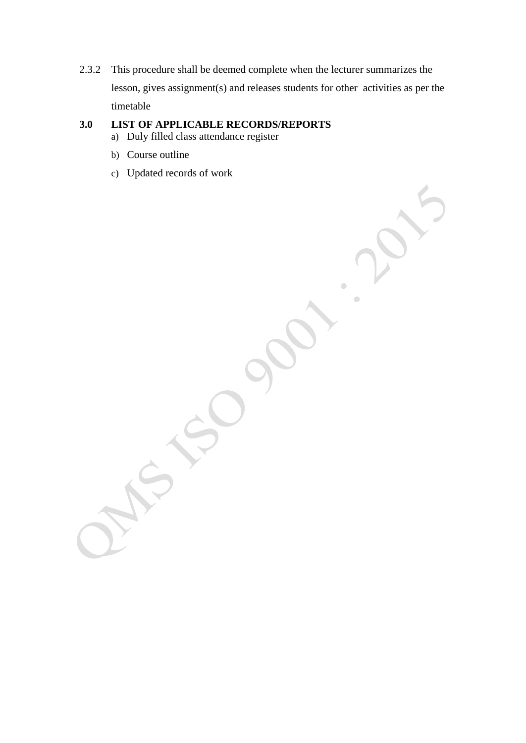2.3.2 This procedure shall be deemed complete when the lecturer summarizes the lesson, gives assignment(s) and releases students for other activities as per the timetable

# **3.0 LIST OF APPLICABLE RECORDS/REPORTS**

- a) Duly filled class attendance register
- b) Course outline
- c) Updated records of work

 $\overline{a}$ Ċ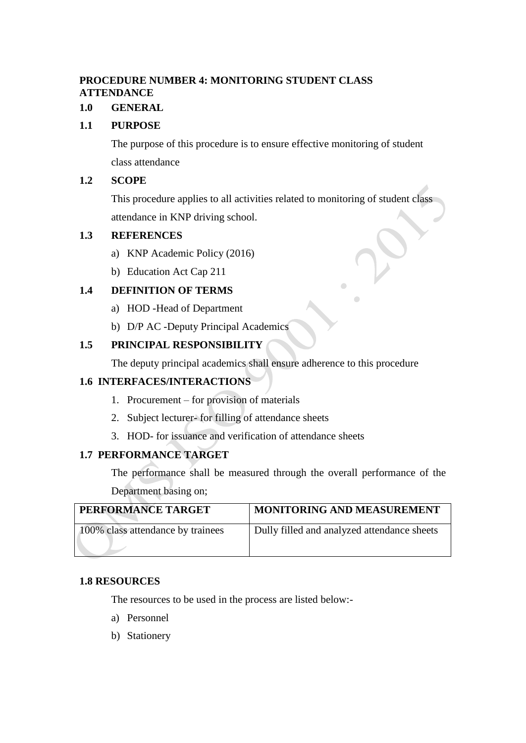## <span id="page-12-0"></span>**PROCEDURE NUMBER 4: MONITORING STUDENT CLASS ATTENDANCE**

## **1.0 GENERAL**

#### **1.1 PURPOSE**

The purpose of this procedure is to ensure effective monitoring of student class attendance

#### **1.2 SCOPE**

This procedure applies to all activities related to monitoring of student class attendance in KNP driving school.

#### **1.3 REFERENCES**

- a) KNP Academic Policy (2016)
- b) Education Act Cap 211

#### **1.4 DEFINITION OF TERMS**

- a) HOD -Head of Department
- b) D/P AC -Deputy Principal Academics

#### **1.5 PRINCIPAL RESPONSIBILITY**

The deputy principal academics shall ensure adherence to this procedure

#### **1.6 INTERFACES/INTERACTIONS**

- 1. Procurement for provision of materials
- 2. Subject lecturer- for filling of attendance sheets
- 3. HOD- for issuance and verification of attendance sheets

#### **1.7 PERFORMANCE TARGET**

The performance shall be measured through the overall performance of the Department basing on;

| PERFORMANCE TARGET                | <b>MONITORING AND MEASUREMENT</b>           |
|-----------------------------------|---------------------------------------------|
| 100% class attendance by trainees | Dully filled and analyzed attendance sheets |
|                                   |                                             |

#### **1.8 RESOURCES**

The resources to be used in the process are listed below:-

- a) Personnel
- b) Stationery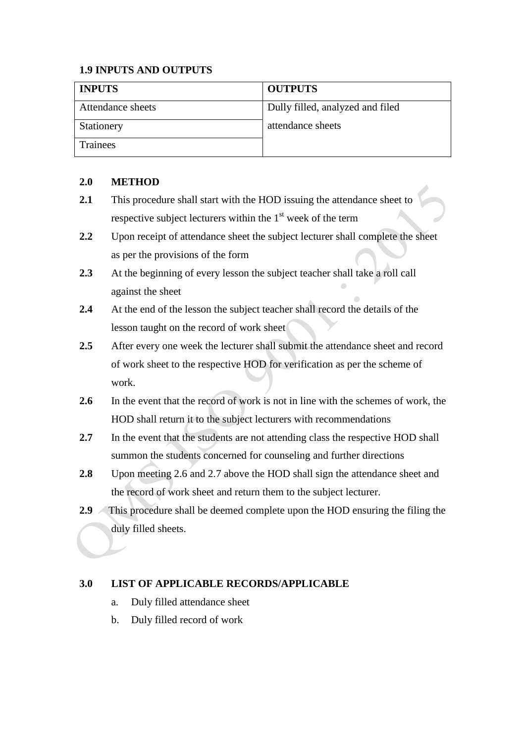## **1.9 INPUTS AND OUTPUTS**

| <b>INPUTS</b>     | <b>OUTPUTS</b>                   |
|-------------------|----------------------------------|
| Attendance sheets | Dully filled, analyzed and filed |
| Stationery        | attendance sheets                |
| <b>Trainees</b>   |                                  |

## **2.0 METHOD**

- 2.1 This procedure shall start with the HOD issuing the attendance sheet to respective subject lecturers within the  $1<sup>st</sup>$  week of the term
- **2.2** Upon receipt of attendance sheet the subject lecturer shall complete the sheet as per the provisions of the form
- **2.3** At the beginning of every lesson the subject teacher shall take a roll call against the sheet
- **2.4** At the end of the lesson the subject teacher shall record the details of the lesson taught on the record of work sheet
- **2.5** After every one week the lecturer shall submit the attendance sheet and record of work sheet to the respective HOD for verification as per the scheme of work.
- 2.6 In the event that the record of work is not in line with the schemes of work, the HOD shall return it to the subject lecturers with recommendations
- **2.7** In the event that the students are not attending class the respective HOD shall summon the students concerned for counseling and further directions
- **2.8** Upon meeting 2.6 and 2.7 above the HOD shall sign the attendance sheet and the record of work sheet and return them to the subject lecturer.
- **2.9** This procedure shall be deemed complete upon the HOD ensuring the filing the duly filled sheets.

## **3.0 LIST OF APPLICABLE RECORDS/APPLICABLE**

- a. Duly filled attendance sheet
- b. Duly filled record of work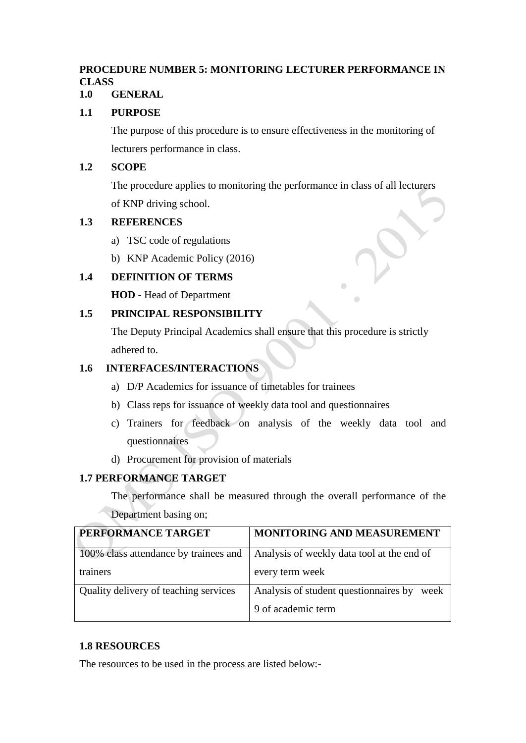## <span id="page-14-0"></span>**PROCEDURE NUMBER 5: MONITORING LECTURER PERFORMANCE IN CLASS**

## **1.0 GENERAL**

## **1.1 PURPOSE**

The purpose of this procedure is to ensure effectiveness in the monitoring of lecturers performance in class.

#### **1.2 SCOPE**

The procedure applies to monitoring the performance in class of all lecturers of KNP driving school.

#### **1.3 REFERENCES**

- a) TSC code of regulations
- b) KNP Academic Policy (2016)

## **1.4 DEFINITION OF TERMS**

**HOD -** Head of Department

#### **1.5 PRINCIPAL RESPONSIBILITY**

The Deputy Principal Academics shall ensure that this procedure is strictly adhered to.

## **1.6 INTERFACES/INTERACTIONS**

- a) D/P Academics for issuance of timetables for trainees
- b) Class reps for issuance of weekly data tool and questionnaires
- c) Trainers for feedback on analysis of the weekly data tool and questionnaires
- d) Procurement for provision of materials

## **1.7 PERFORMANCE TARGET**

The performance shall be measured through the overall performance of the Department basing on;

| PERFORMANCE TARGET                    | MONITORING AND MEASUREMENT                    |
|---------------------------------------|-----------------------------------------------|
| 100% class attendance by trainees and | Analysis of weekly data tool at the end of    |
| trainers                              | every term week                               |
| Quality delivery of teaching services | Analysis of student questionnaires by<br>week |
|                                       | 9 of academic term                            |

#### **1.8 RESOURCES**

The resources to be used in the process are listed below:-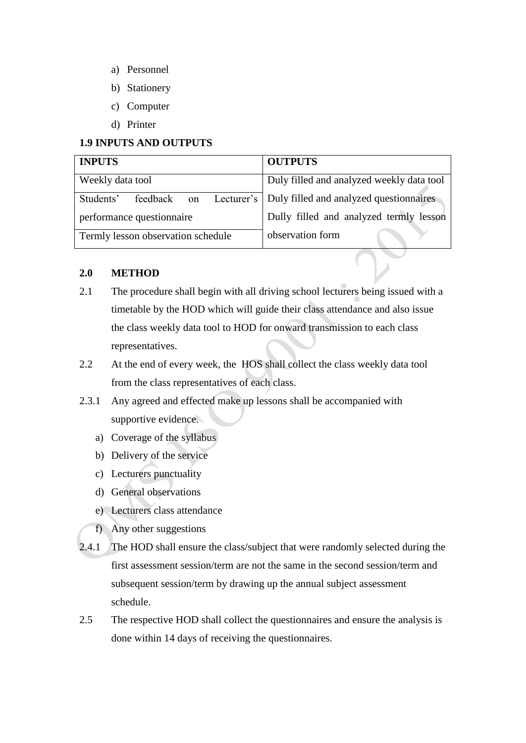- a) Personnel
- b) Stationery
- c) Computer
- d) Printer

#### **1.9 INPUTS AND OUTPUTS**

| <b>INPUTS</b>                      | <b>OUTPUTS</b>                                       |
|------------------------------------|------------------------------------------------------|
| Weekly data tool                   | Duly filled and analyzed weekly data tool            |
| feedback<br>Students'<br>on        | Lecturer's   Duly filled and analyzed questionnaires |
| performance questionnaire          | Dully filled and analyzed termly lesson              |
| Termly lesson observation schedule | observation form                                     |

#### **2.0 METHOD**

- 2.1 The procedure shall begin with all driving school lecturers being issued with a timetable by the HOD which will guide their class attendance and also issue the class weekly data tool to HOD for onward transmission to each class representatives.
- 2.2 At the end of every week, the HOS shall collect the class weekly data tool from the class representatives of each class.
- 2.3.1 Any agreed and effected make up lessons shall be accompanied with supportive evidence.
	- a) Coverage of the syllabus
	- b) Delivery of the service
	- c) Lecturers punctuality
	- d) General observations
	- e) Lecturers class attendance
	- f) Any other suggestions
- 2.4.1 The HOD shall ensure the class/subject that were randomly selected during the first assessment session/term are not the same in the second session/term and subsequent session/term by drawing up the annual subject assessment schedule.
- 2.5 The respective HOD shall collect the questionnaires and ensure the analysis is done within 14 days of receiving the questionnaires.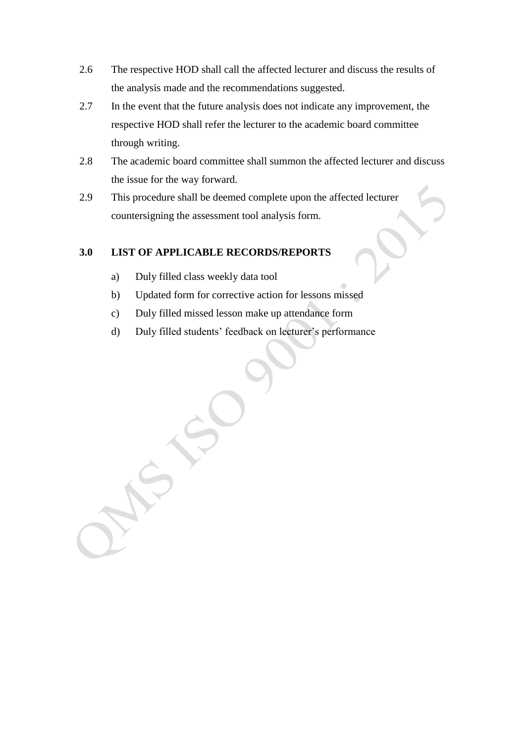- 2.6 The respective HOD shall call the affected lecturer and discuss the results of the analysis made and the recommendations suggested.
- 2.7 In the event that the future analysis does not indicate any improvement, the respective HOD shall refer the lecturer to the academic board committee through writing.
- 2.8 The academic board committee shall summon the affected lecturer and discuss the issue for the way forward.
- 2.9 This procedure shall be deemed complete upon the affected lecturer countersigning the assessment tool analysis form.

# **3.0 LIST OF APPLICABLE RECORDS/REPORTS**

- a) Duly filled class weekly data tool
- b) Updated form for corrective action for lessons missed
- c) Duly filled missed lesson make up attendance form
- d) Duly filled students' feedback on lecturer's performance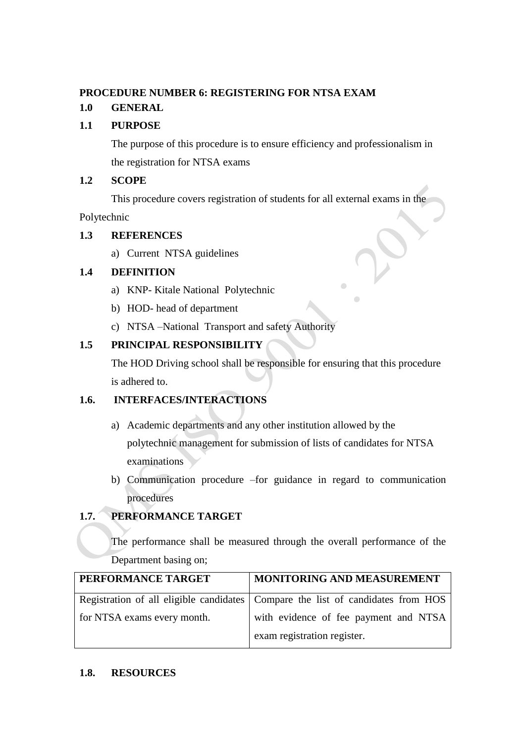#### <span id="page-17-0"></span>**PROCEDURE NUMBER 6: REGISTERING FOR NTSA EXAM**

## **1.0 GENERAL**

#### **1.1 PURPOSE**

The purpose of this procedure is to ensure efficiency and professionalism in the registration for NTSA exams

#### **1.2 SCOPE**

This procedure covers registration of students for all external exams in the

Polytechnic

#### **1.3 REFERENCES**

a) Current NTSA guidelines

## **1.4 DEFINITION**

- a) KNP- Kitale National Polytechnic
- b) HOD- head of department
- c) NTSA –National Transport and safety Authority

#### **1.5 PRINCIPAL RESPONSIBILITY**

The HOD Driving school shall be responsible for ensuring that this procedure is adhered to.

#### **1.6. INTERFACES/INTERACTIONS**

- a) Academic departments and any other institution allowed by the polytechnic management for submission of lists of candidates for NTSA examinations
- b) Communication procedure –for guidance in regard to communication procedures

## **1.7. PERFORMANCE TARGET**

The performance shall be measured through the overall performance of the Department basing on;

| PERFORMANCE TARGET          | MONITORING AND MEASUREMENT                                                      |
|-----------------------------|---------------------------------------------------------------------------------|
|                             | Registration of all eligible candidates Compare the list of candidates from HOS |
| for NTSA exams every month. | with evidence of fee payment and NTSA<br>exam registration register.            |

#### **1.8. RESOURCES**